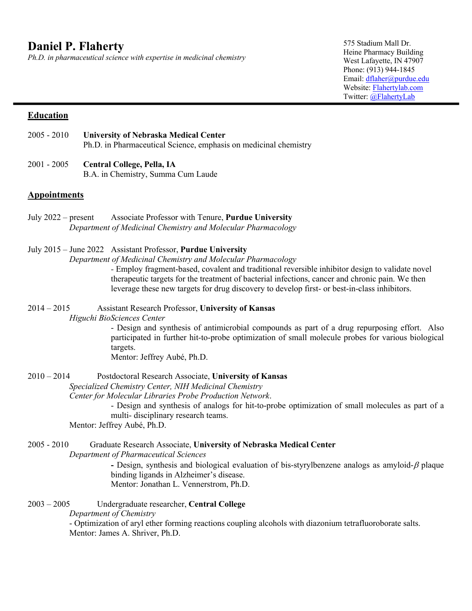*Ph.D. in pharmaceutical science with expertise in medicinal chemistry*

575 Stadium Mall Dr. Heine Pharmacy Building West Lafayette, IN 47907 Phone: (913) 944-1845 Email: dflaher@purdue.edu Website: Flahertylab.com Twitter: @FlahertyLab

#### **Education**

- 2005 2010 **University of Nebraska Medical Center** Ph.D. in Pharmaceutical Science, emphasis on medicinal chemistry
- 2001 2005 **Central College, Pella, IA** B.A. in Chemistry, Summa Cum Laude

#### **Appointments**

- July 2022 present Associate Professor with Tenure, **Purdue University** *Department of Medicinal Chemistry and Molecular Pharmacology*
- July 2015 June 2022 Assistant Professor, **Purdue University**
	- *Department of Medicinal Chemistry and Molecular Pharmacology*

*-* Employ fragment-based, covalent and traditional reversible inhibitor design to validate novel therapeutic targets for the treatment of bacterial infections, cancer and chronic pain. We then leverage these new targets for drug discovery to develop first- or best-in-class inhibitors.

֬֕֜֡

2014 – 2015 Assistant Research Professor, **University of Kansas** *Higuchi BioSciences Center*

- Design and synthesis of antimicrobial compounds as part of a drug repurposing effort. Also participated in further hit-to-probe optimization of small molecule probes for various biological targets.

Mentor: Jeffrey Aubé, Ph.D.

2010 – 2014 Postdoctoral Research Associate, **University of Kansas** *Specialized Chemistry Center, NIH Medicinal Chemistry Center for Molecular Libraries Probe Production Network*. - Design and synthesis of analogs for hit-to-probe optimization of small molecules as part of a multi- disciplinary research teams. Mentor: Jeffrey Aubé, Ph.D.

2005 - 2010 Graduate Research Associate, **University of Nebraska Medical Center** *Department of Pharmaceutical Sciences* - Design, synthesis and biological evaluation of bis-styrylbenzene analogs as amyloid- $\beta$  plaque binding ligands in Alzheimer's disease. Mentor: Jonathan L. Vennerstrom, Ph.D.

2003 – 2005 Undergraduate researcher, **Central College** *Department of Chemistry* - Optimization of aryl ether forming reactions coupling alcohols with diazonium tetrafluoroborate salts. Mentor: James A. Shriver, Ph.D.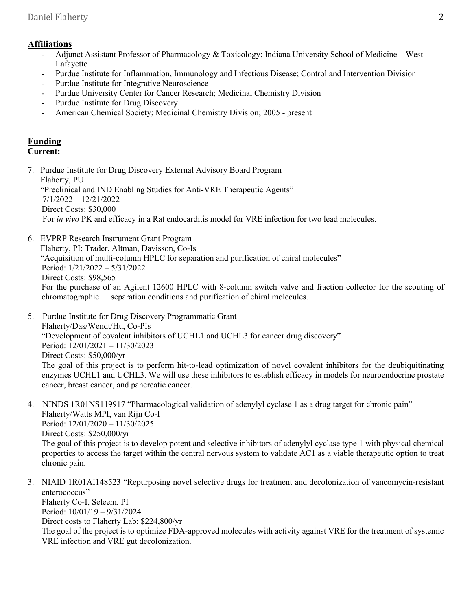# **Affiliations**

- Adjunct Assistant Professor of Pharmacology & Toxicology; Indiana University School of Medicine West Lafayette
- Purdue Institute for Inflammation, Immunology and Infectious Disease; Control and Intervention Division
- Purdue Institute for Integrative Neuroscience
- Purdue University Center for Cancer Research; Medicinal Chemistry Division
- Purdue Institute for Drug Discovery
- American Chemical Society; Medicinal Chemistry Division; 2005 present

# **Funding**

# **Current:**

7. Purdue Institute for Drug Discovery External Advisory Board Program Flaherty, PU "Preclinical and IND Enabling Studies for Anti-VRE Therapeutic Agents" 7/1/2022 – 12/21/2022 Direct Costs: \$30,000 For *in vivo* PK and efficacy in a Rat endocarditis model for VRE infection for two lead molecules.

- 6. EVPRP Research Instrument Grant Program Flaherty, PI; Trader, Altman, Davisson, Co-Is "Acquisition of multi-column HPLC for separation and purification of chiral molecules" Period: 1/21/2022 – 5/31/2022 Direct Costs: \$98,565 For the purchase of an Agilent 12600 HPLC with 8-column switch valve and fraction collector for the scouting of chromatographic separation conditions and purification of chiral molecules.
- 5. Purdue Institute for Drug Discovery Programmatic Grant Flaherty/Das/Wendt/Hu, Co-PIs "Development of covalent inhibitors of UCHL1 and UCHL3 for cancer drug discovery" Period: 12/01/2021 – 11/30/2023 Direct Costs: \$50,000/yr The goal of this project is to perform hit-to-lead optimization of novel covalent inhibitors for the deubiquitinating enzymes UCHL1 and UCHL3. We will use these inhibitors to establish efficacy in models for neuroendocrine prostate cancer, breast cancer, and pancreatic cancer.
- 4. NINDS 1R01NS119917 "Pharmacological validation of adenylyl cyclase 1 as a drug target for chronic pain" Flaherty/Watts MPI, van Rijn Co-I Period: 12/01/2020 – 11/30/2025 Direct Costs: \$250,000/yr The goal of this project is to develop potent and selective inhibitors of adenylyl cyclase type 1 with physical chemical properties to access the target within the central nervous system to validate AC1 as a viable therapeutic option to treat chronic pain.
- 3. NIAID 1R01AI148523 "Repurposing novel selective drugs for treatment and decolonization of vancomycin-resistant enterococcus" Flaherty Co-I, Seleem, PI

Period: 10/01/19 – 9/31/2024

Direct costs to Flaherty Lab: \$224,800/yr

The goal of the project is to optimize FDA-approved molecules with activity against VRE for the treatment of systemic VRE infection and VRE gut decolonization.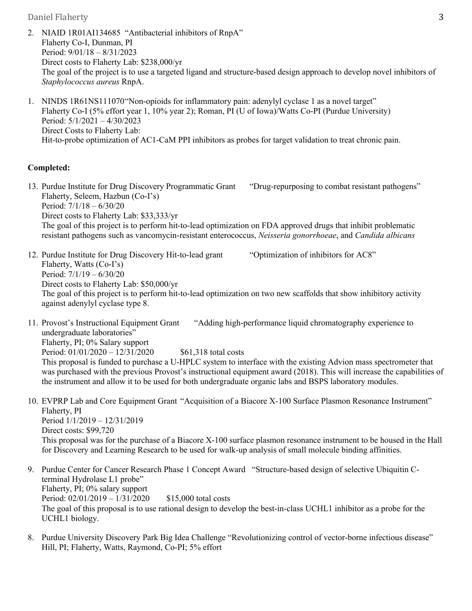2. NIAID 1R01AI134685 "Antibacterial inhibitors of RnpA" Flaherty Co-I, Dunman, PI Period: 9/01/18 – 8/31/2023 Direct costs to Flaherty Lab: \$238,000/yr The goal of the project is to use a targeted ligand and structure-based design approach to develop novel inhibitors of *Staphylococcus aureus* RnpA.

1. NINDS 1R61NS111070"Non-opioids for inflammatory pain: adenylyl cyclase 1 as a novel target" Flaherty Co-I (5% effort year 1, 10% year 2); Roman, PI (U of Iowa)/Watts Co-PI (Purdue University) Period: 5/1/2021 – 4/30/2023 Direct Costs to Flaherty Lab: Hit-to-probe optimization of AC1-CaM PPI inhibitors as probes for target validation to treat chronic pain.

#### **Completed:**

13. Purdue Institute for Drug Discovery Programmatic Grant "Drug-repurposing to combat resistant pathogens" Flaherty, Seleem, Hazbun (Co-I's) Period: 7/1/18 – 6/30/20 Direct costs to Flaherty Lab: \$33,333/yr The goal of this project is to perform hit-to-lead optimization on FDA approved drugs that inhibit problematic resistant pathogens such as vancomycin-resistant enterococcus, *Neisseria gonorrhoeae*, and *Candida albicans*

12. Purdue Institute for Drug Discovery Hit-to-lead grant "Optimization of inhibitors for AC8" Flaherty, Watts (Co-I's) Period: 7/1/19 – 6/30/20 Direct costs to Flaherty Lab: \$50,000/yr The goal of this project is to perform hit-to-lead optimization on two new scaffolds that show inhibitory activity against adenylyl cyclase type 8.

11. Provost's Instructional Equipment Grant "Adding high-performance liquid chromatography experience to undergraduate laboratories" Flaherty, PI; 0% Salary support Period:  $01/01/2020 - 12/31/2020$  \$61,318 total costs

This proposal is funded to purchase a U-HPLC system to interface with the existing Advion mass spectrometer that was purchased with the previous Provost's instructional equipment award (2018). This will increase the capabilities of the instrument and allow it to be used for both undergraduate organic labs and BSPS laboratory modules.

10. EVPRP Lab and Core Equipment Grant "Acquisition of a Biacore X-100 Surface Plasmon Resonance Instrument" Flaherty, PI Period 1/1/2019 – 12/31/2019

Direct costs: \$99,720 This proposal was for the purchase of a Biacore X-100 surface plasmon resonance instrument to be housed in the Hall for Discovery and Learning Research to be used for walk-up analysis of small molecule binding affinities.

- 9. Purdue Center for Cancer Research Phase 1 Concept Award "Structure-based design of selective Ubiquitin Cterminal Hydrolase L1 probe" Flaherty, PI; 0% salary support Period: 02/01/2019 – 1/31/2020 \$15,000 total costs The goal of this proposal is to use rational design to develop the best-in-class UCHL1 inhibitor as a probe for the UCHL1 biology.
- 8. Purdue University Discovery Park Big Idea Challenge "Revolutionizing control of vector-borne infectious disease" Hill, PI; Flaherty, Watts, Raymond, Co-PI; 5% effort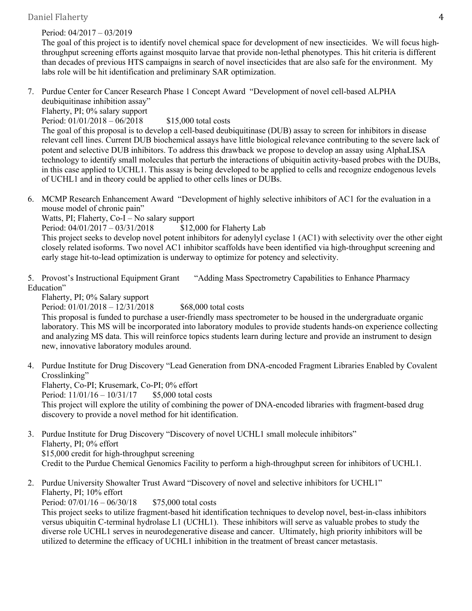#### Period: 04/2017 – 03/2019

The goal of this project is to identify novel chemical space for development of new insecticides. We will focus highthroughput screening efforts against mosquito larvae that provide non-lethal phenotypes. This hit criteria is different than decades of previous HTS campaigns in search of novel insecticides that are also safe for the environment. My labs role will be hit identification and preliminary SAR optimization.

7. Purdue Center for Cancer Research Phase 1 Concept Award "Development of novel cell-based ALPHA deubiquitinase inhibition assay"

Flaherty, PI; 0% salary support

Period:  $01/01/2018 - 06/2018$  \$15,000 total costs

The goal of this proposal is to develop a cell-based deubiquitinase (DUB) assay to screen for inhibitors in disease relevant cell lines. Current DUB biochemical assays have little biological relevance contributing to the severe lack of potent and selective DUB inhibitors. To address this drawback we propose to develop an assay using AlphaLISA technology to identify small molecules that perturb the interactions of ubiquitin activity-based probes with the DUBs, in this case applied to UCHL1. This assay is being developed to be applied to cells and recognize endogenous levels of UCHL1 and in theory could be applied to other cells lines or DUBs.

6. MCMP Research Enhancement Award "Development of highly selective inhibitors of AC1 for the evaluation in a mouse model of chronic pain"

Watts, PI; Flaherty, Co-I – No salary support

Period: 04/01/2017 – 03/31/2018 \$12,000 for Flaherty Lab

This project seeks to develop novel potent inhibitors for adenylyl cyclase 1 (AC1) with selectivity over the other eight closely related isoforms. Two novel AC1 inhibitor scaffolds have been identified via high-throughput screening and early stage hit-to-lead optimization is underway to optimize for potency and selectivity.

5. Provost's Instructional Equipment Grant "Adding Mass Spectrometry Capabilities to Enhance Pharmacy Education"

Flaherty, PI; 0% Salary support

Period: 01/01/2018 – 12/31/2018 \$68,000 total costs

This proposal is funded to purchase a user-friendly mass spectrometer to be housed in the undergraduate organic laboratory. This MS will be incorporated into laboratory modules to provide students hands-on experience collecting and analyzing MS data. This will reinforce topics students learn during lecture and provide an instrument to design new, innovative laboratory modules around.

- 4. Purdue Institute for Drug Discovery "Lead Generation from DNA-encoded Fragment Libraries Enabled by Covalent Crosslinking"
	- Flaherty, Co-PI; Krusemark, Co-PI; 0% effort

Period: 11/01/16 – 10/31/17 \$5,000 total costs

This project will explore the utility of combining the power of DNA-encoded libraries with fragment-based drug discovery to provide a novel method for hit identification.

- 3. Purdue Institute for Drug Discovery "Discovery of novel UCHL1 small molecule inhibitors" Flaherty, PI; 0% effort \$15,000 credit for high-throughput screening Credit to the Purdue Chemical Genomics Facility to perform a high-throughput screen for inhibitors of UCHL1.
- 2. Purdue University Showalter Trust Award "Discovery of novel and selective inhibitors for UCHL1" Flaherty, PI; 10% effort

Period: 07/01/16 – 06/30/18 \$75,000 total costs

This project seeks to utilize fragment-based hit identification techniques to develop novel, best-in-class inhibitors versus ubiquitin C-terminal hydrolase L1 (UCHL1). These inhibitors will serve as valuable probes to study the diverse role UCHL1 serves in neurodegenerative disease and cancer. Ultimately, high priority inhibitors will be utilized to determine the efficacy of UCHL1 inhibition in the treatment of breast cancer metastasis.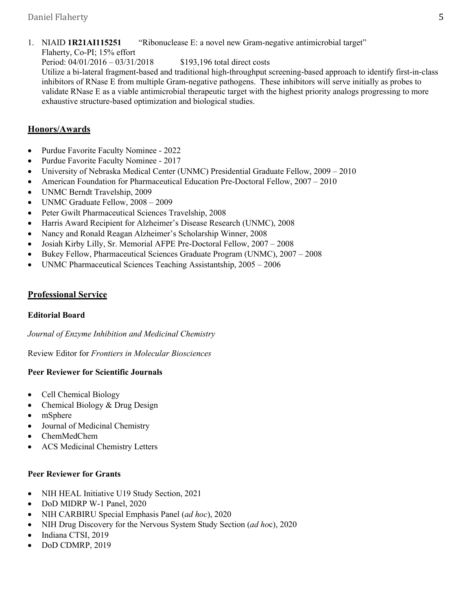1. NIAID **1R21AI115251** "Ribonuclease E: a novel new Gram-negative antimicrobial target"

Flaherty, Co-PI; 15% effort

Period: 04/01/2016 – 03/31/2018 \$193,196 total direct costs Utilize a bi-lateral fragment-based and traditional high-throughput screening-based approach to identify first-in-class inhibitors of RNase E from multiple Gram-negative pathogens. These inhibitors will serve initially as probes to validate RNase E as a viable antimicrobial therapeutic target with the highest priority analogs progressing to more exhaustive structure-based optimization and biological studies.

# **Honors/Awards**

- Purdue Favorite Faculty Nominee 2022
- Purdue Favorite Faculty Nominee 2017
- University of Nebraska Medical Center (UNMC) Presidential Graduate Fellow, 2009 2010
- American Foundation for Pharmaceutical Education Pre-Doctoral Fellow, 2007 2010
- UNMC Berndt Travelship, 2009
- UNMC Graduate Fellow, 2008 2009
- Peter Gwilt Pharmaceutical Sciences Travelship, 2008
- Harris Award Recipient for Alzheimer's Disease Research (UNMC), 2008
- Nancy and Ronald Reagan Alzheimer's Scholarship Winner, 2008
- Josiah Kirby Lilly, Sr. Memorial AFPE Pre-Doctoral Fellow, 2007 2008
- Bukey Fellow, Pharmaceutical Sciences Graduate Program (UNMC), 2007 2008
- UNMC Pharmaceutical Sciences Teaching Assistantship, 2005 2006

# **Professional Service**

# **Editorial Board**

*Journal of Enzyme Inhibition and Medicinal Chemistry*

Review Editor for *Frontiers in Molecular Biosciences*

# **Peer Reviewer for Scientific Journals**

- Cell Chemical Biology
- Chemical Biology & Drug Design
- mSphere
- Journal of Medicinal Chemistry
- ChemMedChem
- ACS Medicinal Chemistry Letters

# **Peer Reviewer for Grants**

- NIH HEAL Initiative U19 Study Section, 2021
- DoD MIDRP W-1 Panel, 2020
- NIH CARBIRU Special Emphasis Panel (*ad hoc*), 2020
- NIH Drug Discovery for the Nervous System Study Section (*ad ho*c), 2020
- Indiana CTSI, 2019
- DoD CDMRP, 2019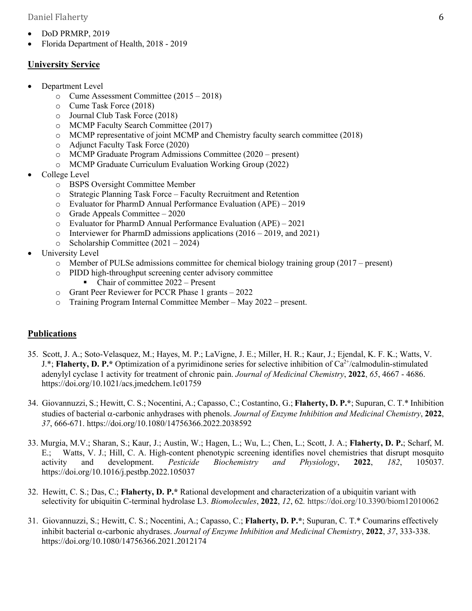- DoD PRMRP, 2019
- Florida Department of Health, 2018 2019

#### **University Service**

- Department Level
	- o Cume Assessment Committee (2015 2018)
	- o Cume Task Force (2018)
	- o Journal Club Task Force (2018)
	- o MCMP Faculty Search Committee (2017)
	- o MCMP representative of joint MCMP and Chemistry faculty search committee (2018)
	- o Adjunct Faculty Task Force (2020)
	- o MCMP Graduate Program Admissions Committee (2020 present)
	- o MCMP Graduate Curriculum Evaluation Working Group (2022)
- College Level
	- o BSPS Oversight Committee Member
	- o Strategic Planning Task Force Faculty Recruitment and Retention
	- o Evaluator for PharmD Annual Performance Evaluation (APE) 2019
	- o Grade Appeals Committee 2020
	- o Evaluator for PharmD Annual Performance Evaluation (APE) 2021
	- o Interviewer for PharmD admissions applications (2016 2019, and 2021)
	- o Scholarship Committee (2021 2024)
- University Level
	- o Member of PULSe admissions committee for chemical biology training group (2017 present)
	- o PIDD high-throughput screening center advisory committee
		- Chair of committee 2022 Present
	- o Grant Peer Reviewer for PCCR Phase 1 grants 2022
	- o Training Program Internal Committee Member May 2022 present.

#### **Publications**

- 35. Scott, J. A.; Soto-Velasquez, M.; Hayes, M. P.; LaVigne, J. E.; Miller, H. R.; Kaur, J.; Ejendal, K. F. K.; Watts, V.  $J.*$ ; **Flaherty, D. P.**\* Optimization of a pyrimidinone series for selective inhibition of  $Ca^{2+}/cal$  calmodulin-stimulated adenylyl cyclase 1 activity for treatment of chronic pain. *Journal of Medicinal Chemistry*, **2022**, *65*, 4667 - 4686. https://doi.org/10.1021/acs.jmedchem.1c01759
- 34. Giovannuzzi, S.; Hewitt, C. S.; Nocentini, A.; Capasso, C.; Costantino, G.; **Flaherty, D. P.\***; Supuran, C. T.\* Inhibition studies of bacterial a-carbonic anhydrases with phenols. *Journal of Enzyme Inhibition and Medicinal Chemistry*, **2022**, *37*, 666-671. https://doi.org/10.1080/14756366.2022.2038592
- 33. Murgia, M.V.; Sharan, S.; Kaur, J.; Austin, W.; Hagen, L.; Wu, L.; Chen, L.; Scott, J. A.; **Flaherty, D. P.**; Scharf, M. E.; Watts, V. J.; Hill, C. A. High-content phenotypic screening identifies novel chemistries that disrupt mosquito activity and development. *Pesticide Biochemistry and Physiology*, **2022**, *182*, 105037. https://doi.org/10.1016/j.pestbp.2022.105037
- 32. Hewitt, C. S.; Das, C.; **Flaherty, D. P.\*** Rational development and characterization of a ubiquitin variant with selectivity for ubiquitin C-terminal hydrolase L3. *Biomolecules*, **2022**, *12*, 62*.* https://doi.org/10.3390/biom12010062
- 31. Giovannuzzi, S.; Hewitt, C. S.; Nocentini, A.; Capasso, C.; **Flaherty, D. P.\***; Supuran, C. T.\* Coumarins effectively inhibit bacterial a-carbonic ahydrases. *Journal of Enzyme Inhibition and Medicinal Chemistry*, **2022**, *37*, 333-338. https://doi.org/10.1080/14756366.2021.2012174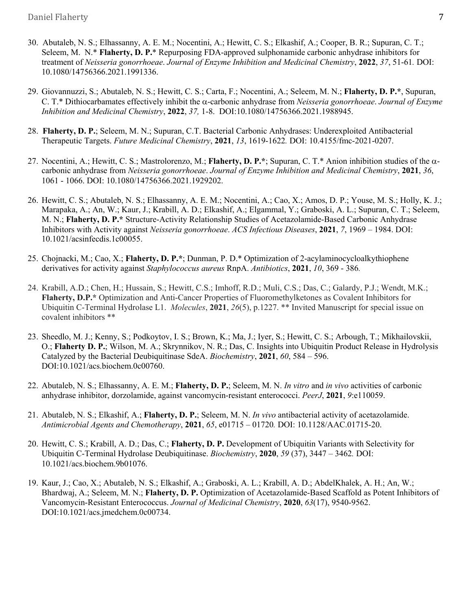- 30. Abutaleb, N. S.; Elhassanny, A. E. M.; Nocentini, A.; Hewitt, C. S.; Elkashif, A.; Cooper, B. R.; Supuran, C. T.; Seleem, M. N.\* **Flaherty, D. P.**\* Repurposing FDA-approved sulphonamide carbonic anhydrase inhibitors for treatment of *Neisseria gonorrhoeae*. *Journal of Enzyme Inhibition and Medicinal Chemistry*, **2022**, *37*, 51-61*.* DOI: 10.1080/14756366.2021.1991336.
- 29. Giovannuzzi, S.; Abutaleb, N. S.; Hewitt, C. S.; Carta, F.; Nocentini, A.; Seleem, M. N.; **Flaherty, D. P.\***, Supuran, C. T.\* Dithiocarbamates effectively inhibit the a-carbonic anhydrase from *Neisseria gonorrhoeae*. *Journal of Enzyme Inhibition and Medicinal Chemistry*, **2022**, *37,* 1-8. DOI:10.1080/14756366.2021.1988945.
- 28. **Flaherty, D. P.**; Seleem, M. N.; Supuran, C.T. Bacterial Carbonic Anhydrases: Underexploited Antibacterial Therapeutic Targets. *Future Medicinal Chemistry*, **2021**, *13*, 1619-1622*.* DOI: 10.4155/fmc-2021-0207.
- 27. Nocentini, A.; Hewitt, C. S.; Mastrolorenzo, M.; **Flaherty, D. P.\***; Supuran, C. T.\* Anion inhibition studies of the acarbonic anhydrase from *Neisseria gonorrhoeae*. *Journal of Enzyme Inhibition and Medicinal Chemistry*, **2021**, *36*, 1061 - 1066. DOI: 10.1080/14756366.2021.1929202.
- 26. Hewitt, C. S.; Abutaleb, N. S.; Elhassanny, A. E. M.; Nocentini, A.; Cao, X.; Amos, D. P.; Youse, M. S.; Holly, K. J.; Marapaka, A.; An, W.; Kaur, J.; Krabill, A. D.; Elkashif, A.; Elgammal, Y.; Graboski, A. L.; Supuran, C. T.; Seleem, M. N.; **Flaherty, D. P.\*** Structure-Activity Relationship Studies of Acetazolamide-Based Carbonic Anhydrase Inhibitors with Activity against *Neisseria gonorrhoeae*. *ACS Infectious Diseases*, **2021**, *7*, 1969 – 1984. DOI: 10.1021/acsinfecdis.1c00055.
- 25. Chojnacki, M.; Cao, X.; **Flaherty, D. P.\***; Dunman, P. D.\* Optimization of 2-acylaminocycloalkythiophene derivatives for activity against *Staphylococcus aureus* RnpA. *Antibiotics*, **2021**, *10*, 369 - 386*.*
- 24. Krabill, A.D.; Chen, H.; Hussain, S.; Hewitt, C.S.; Imhoff, R.D.; Muli, C.S.; Das, C.; Galardy, P.J.; Wendt, M.K.; **Flaherty, D.P.\*** Optimization and Anti-Cancer Properties of Fluoromethylketones as Covalent Inhibitors for Ubiquitin C-Terminal Hydrolase L1. *Molecules*, **2021**, *26*(5), p.1227. \*\* Invited Manuscript for special issue on covalent inhibitors \*\*
- 23. Sheedlo, M. J.; Kenny, S.; Podkoytov, I. S.; Brown, K.; Ma, J.; Iyer, S.; Hewitt, C. S.; Arbough, T.; Mikhailovskii, O.; **Flaherty D. P.**; Wilson, M. A.; Skrynnikov, N. R.; Das, C. Insights into Ubiquitin Product Release in Hydrolysis Catalyzed by the Bacterial Deubiquitinase SdeA. *Biochemistry*, **2021**, *60*, 584 – 596. DOI:10.1021/acs.biochem.0c00760.
- 22. Abutaleb, N. S.; Elhassanny, A. E. M.; **Flaherty, D. P.**; Seleem, M. N. *In vitro* and *in vivo* activities of carbonic anhydrase inhibitor, dorzolamide, against vancomycin-resistant enterococci. *PeerJ*, **2021**, *9*:e110059.
- 21. Abutaleb, N. S.; Elkashif, A.; **Flaherty, D. P.**; Seleem, M. N. *In vivo* antibacterial activity of acetazolamide. *Antimicrobial Agents and Chemotherapy*, **2021**, *65*, e01715 – 01720*.* DOI: 10.1128/AAC.01715-20.
- 20. Hewitt, C. S.; Krabill, A. D.; Das, C.; **Flaherty, D. P.** Development of Ubiquitin Variants with Selectivity for Ubiquitin C-Terminal Hydrolase Deubiquitinase. *Biochemistry*, **2020**, *59* (37), 3447 – 3462*.* DOI: 10.1021/acs.biochem.9b01076.
- 19. Kaur, J.; Cao, X.; Abutaleb, N. S.; Elkashif, A.; Graboski, A. L.; Krabill, A. D.; AbdelKhalek, A. H.; An, W.; Bhardwaj, A.; Seleem, M. N.; **Flaherty, D. P.** Optimization of Acetazolamide-Based Scaffold as Potent Inhibitors of Vancomycin-Resistant Enterococcus. *Journal of Medicinal Chemistry*, **2020**, *63*(17), 9540-9562. DOI:10.1021/acs.jmedchem.0c00734.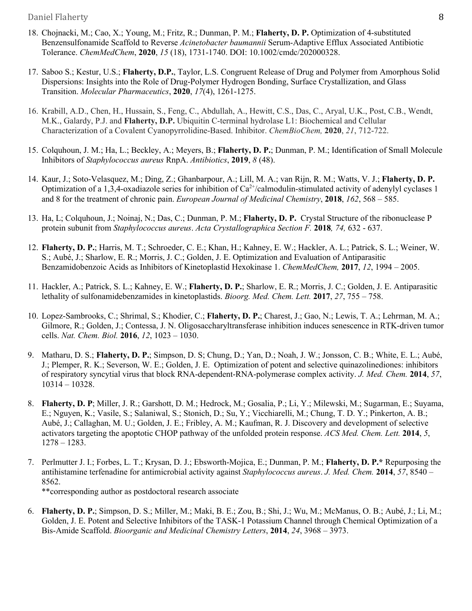- 18. Chojnacki, M.; Cao, X.; Young, M.; Fritz, R.; Dunman, P. M.; **Flaherty, D. P.** Optimization of 4-substituted Benzensulfonamide Scaffold to Reverse *Acinetobacter baumannii* Serum-Adaptive Efflux Associated Antibiotic Tolerance. *ChemMedChem*, **2020**, *15* (18), 1731-1740. DOI: 10.1002/cmdc/202000328.
- 17. Saboo S.; Kestur, U.S.; **Flaherty, D.P.**, Taylor, L.S. Congruent Release of Drug and Polymer from Amorphous Solid Dispersions: Insights into the Role of Drug-Polymer Hydrogen Bonding, Surface Crystallization, and Glass Transition. *Molecular Pharmaceutics*, **2020**, *17*(4), 1261-1275.
- 16. Krabill, A.D., Chen, H., Hussain, S., Feng, C., Abdullah, A., Hewitt, C.S., Das, C., Aryal, U.K., Post, C.B., Wendt, M.K., Galardy, P.J. and **Flaherty, D.P.** Ubiquitin C-terminal hydrolase L1: Biochemical and Cellular Characterization of a Covalent Cyanopyrrolidine-Based. Inhibitor. *ChemBioChem,* **2020**, *21*, 712-722.
- 15. Colquhoun, J. M.; Ha, L.; Beckley, A.; Meyers, B.; **Flaherty, D. P.**; Dunman, P. M.; Identification of Small Molecule Inhibitors of *Staphylococcus aureus* RnpA. *Antibiotics*, **2019**, *8* (48).
- 14. Kaur, J.; Soto-Velasquez, M.; Ding, Z.; Ghanbarpour, A.; Lill, M. A.; van Rijn, R. M.; Watts, V. J.; **Flaherty, D. P.** Optimization of a 1,3,4-oxadiazole series for inhibition of  $Ca^{2+}/c$ almodulin-stimulated activity of adenylyl cyclases 1 and 8 for the treatment of chronic pain. *European Journal of Medicinal Chemistry*, **2018**, *162*, 568 – 585.
- 13. Ha, L; Colquhoun, J.; Noinaj, N.; Das, C.; Dunman, P. M.; **Flaherty, D. P.** Crystal Structure of the ribonuclease P protein subunit from *Staphylococcus aureus*. *Acta Crystallographica Section F.* **2018***, 74,* 632 - 637.
- 12. **Flaherty, D. P.**; Harris, M. T.; Schroeder, C. E.; Khan, H.; Kahney, E. W.; Hackler, A. L.; Patrick, S. L.; Weiner, W. S.; Aubé, J.; Sharlow, E. R.; Morris, J. C.; Golden, J. E. Optimization and Evaluation of Antiparasitic Benzamidobenzoic Acids as Inhibitors of Kinetoplastid Hexokinase 1. *ChemMedChem,* **2017**, *12*, 1994 – 2005.
- 11. Hackler, A.; Patrick, S. L.; Kahney, E. W.; **Flaherty, D. P.**; Sharlow, E. R.; Morris, J. C.; Golden, J. E. Antiparasitic lethality of sulfonamidebenzamides in kinetoplastids. *Bioorg. Med. Chem. Lett.* **2017**, *27*, 755 – 758.
- 10. Lopez-Sambrooks, C.; Shrimal, S.; Khodier, C.; **Flaherty, D. P.**; Charest, J.; Gao, N.; Lewis, T. A.; Lehrman, M. A.; Gilmore, R.; Golden, J.; Contessa, J. N. Oligosaccharyltransferase inhibition induces senescence in RTK-driven tumor cells. *Nat. Chem. Biol.* **2016**, *12*, 1023 – 1030.
- 9. Matharu, D. S.; **Flaherty, D. P.**; Simpson, D. S; Chung, D.; Yan, D.; Noah, J. W.; Jonsson, C. B.; White, E. L.; Aubé, J.; Plemper, R. K.; Severson, W. E.; Golden, J. E. Optimization of potent and selective quinazolinediones: inhibitors of respiratory syncytial virus that block RNA-dependent-RNA-polymerase complex activity. *J. Med. Chem.* **2014**, *57*, 10314 – 10328.
- 8. **Flaherty, D. P**; Miller, J. R.; Garshott, D. M.; Hedrock, M.; Gosalia, P.; Li, Y.; Milewski, M.; Sugarman, E.; Suyama, E.; Nguyen, K.; Vasile, S.; Salaniwal, S.; Stonich, D.; Su, Y.; Vicchiarelli, M.; Chung, T. D. Y.; Pinkerton, A. B.; Aubé, J.; Callaghan, M. U.; Golden, J. E.; Fribley, A. M.; Kaufman, R. J. Discovery and development of selective activators targeting the apoptotic CHOP pathway of the unfolded protein response. *ACS Med. Chem. Lett.* **2014**, *5*, 1278 – 1283.
- 7. Perlmutter J. I.; Forbes, L. T.; Krysan, D. J.; Ebsworth-Mojica, E.; Dunman, P. M.; **Flaherty, D. P.\*** Repurposing the antihistamine terfenadine for antimicrobial activity against *Staphylococcus aureus*. *J. Med. Chem.* **2014**, *57*, 8540 – 8562. \*\*corresponding author as postdoctoral research associate
- 6. **Flaherty, D. P.**; Simpson, D. S.; Miller, M.; Maki, B. E.; Zou, B.; Shi, J.; Wu, M.; McManus, O. B.; Aubé, J.; Li, M.; Golden, J. E. Potent and Selective Inhibitors of the TASK-1 Potassium Channel through Chemical Optimization of a Bis-Amide Scaffold. *Bioorganic and Medicinal Chemistry Letters*, **2014**, *24*, 3968 – 3973.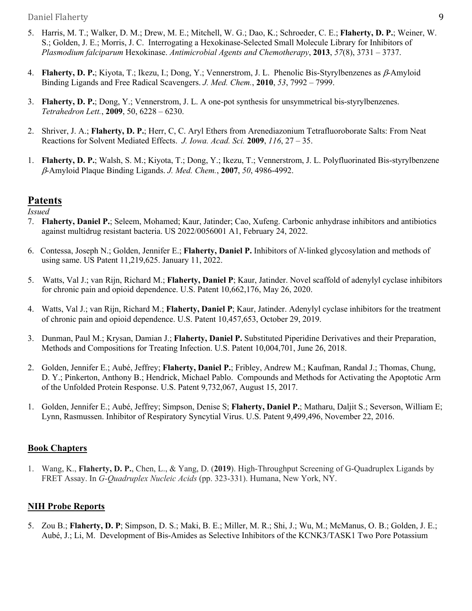- 5. Harris, M. T.; Walker, D. M.; Drew, M. E.; Mitchell, W. G.; Dao, K.; Schroeder, C. E.; **Flaherty, D. P.**; Weiner, W. S.; Golden, J. E.; Morris, J. C. Interrogating a Hexokinase-Selected Small Molecule Library for Inhibitors of *Plasmodium falciparum* Hexokinase. *Antimicrobial Agents and Chemotherapy*, **2013**, *57*(8), 3731 – 3737.
- 4. **Flaherty, D. P.**; Kiyota, T.; Ikezu, I.; Dong, Y.; Vennerstrom, J. L. Phenolic Bis-Styrylbenzenes as  $\beta$ -Amyloid Binding Ligands and Free Radical Scavengers. *J. Med. Chem.*, **2010**, *53*, 7992 – 7999.
- 3. **Flaherty, D. P.**; Dong, Y.; Vennerstrom, J. L. A one-pot synthesis for unsymmetrical bis-styrylbenzenes. *Tetrahedron Lett.*, **2009**, 50, 6228 – 6230.
- 2. Shriver, J. A.; **Flaherty, D. P.**; Herr, C, C. Aryl Ethers from Arenediazonium Tetrafluoroborate Salts: From Neat Reactions for Solvent Mediated Effects. *J. Iowa. Acad. Sci.* **2009**, *116*, 27 – 35.
- 1. **Flaherty, D. P.**; Walsh, S. M.; Kiyota, T.; Dong, Y.; Ikezu, T.; Vennerstrom, J. L. Polyfluorinated Bis-styrylbenzene b-Amyloid Plaque Binding Ligands. *J. Med. Chem.*, **2007**, *50*, 4986-4992.

# **Patents**

*Issued*

- 7. **Flaherty, Daniel P.**; Seleem, Mohamed; Kaur, Jatinder; Cao, Xufeng. Carbonic anhydrase inhibitors and antibiotics against multidrug resistant bacteria. US 2022/0056001 A1, February 24, 2022.
- 6. Contessa, Joseph N.; Golden, Jennifer E.; **Flaherty, Daniel P.** Inhibitors of *N*-linked glycosylation and methods of using same. US Patent 11,219,625. January 11, 2022.
- 5. Watts, Val J.; van Rijn, Richard M.; **Flaherty, Daniel P**; Kaur, Jatinder. Novel scaffold of adenylyl cyclase inhibitors for chronic pain and opioid dependence. U.S. Patent 10,662,176, May 26, 2020.
- 4. Watts, Val J.; van Rijn, Richard M.; **Flaherty, Daniel P**; Kaur, Jatinder. Adenylyl cyclase inhibitors for the treatment of chronic pain and opioid dependence. U.S. Patent 10,457,653, October 29, 2019.
- 3. Dunman, Paul M.; Krysan, Damian J.; **Flaherty, Daniel P.** Substituted Piperidine Derivatives and their Preparation, Methods and Compositions for Treating Infection. U.S. Patent 10,004,701, June 26, 2018.
- 2. Golden, Jennifer E.; Aubé, Jeffrey; **Flaherty, Daniel P.**; Fribley, Andrew M.; Kaufman, Randal J.; Thomas, Chung, D. Y.; Pinkerton, Anthony B.; Hendrick, Michael Pablo. Compounds and Methods for Activating the Apoptotic Arm of the Unfolded Protein Response. U.S. Patent 9,732,067, August 15, 2017.
- 1. Golden, Jennifer E.; Aubé, Jeffrey; Simpson, Denise S; **Flaherty, Daniel P.**; Matharu, Daljit S.; Severson, William E; Lynn, Rasmussen. Inhibitor of Respiratory Syncytial Virus. U.S. Patent 9,499,496, November 22, 2016.

# **Book Chapters**

1. Wang, K., **Flaherty, D. P.**, Chen, L., & Yang, D. (**2019**). High-Throughput Screening of G-Quadruplex Ligands by FRET Assay. In *G-Quadruplex Nucleic Acids* (pp. 323-331). Humana, New York, NY.

# **NIH Probe Reports**

5. Zou B.; **Flaherty, D. P**; Simpson, D. S.; Maki, B. E.; Miller, M. R.; Shi, J.; Wu, M.; McManus, O. B.; Golden, J. E.; Aubé, J.; Li, M. Development of Bis-Amides as Selective Inhibitors of the KCNK3/TASK1 Two Pore Potassium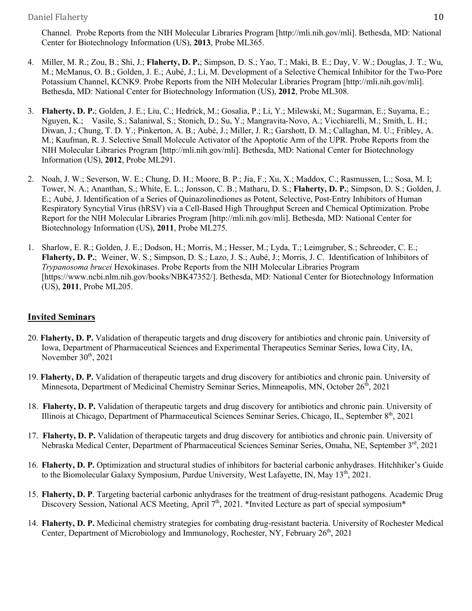Channel. Probe Reports from the NIH Molecular Libraries Program [http://mli.nih.gov/mli]. Bethesda, MD: National Center for Biotechnology Information (US), **2013**, Probe ML365.

- 4. Miller, M. R.; Zou, B.; Shi, J.; **Flaherty, D. P.**; Simpson, D. S.; Yao, T.; Maki, B. E.; Day, V. W.; Douglas, J. T.; Wu, M.; McManus, O. B.; Golden, J. E.; Aubé, J.; Li, M. Development of a Selective Chemical Inhibitor for the Two-Pore Potassium Channel, KCNK9. Probe Reports from the NIH Molecular Libraries Program [http://mli.nih.gov/mli]. Bethesda, MD: National Center for Biotechnology Information (US), **2012**, Probe ML308.
- 3. **Flaherty, D. P.**; Golden, J. E.; Liu, C.; Hedrick, M.; Gosalia, P.; Li, Y.; Milewski, M.; Sugarman, E.; Suyama, E.; Nguyen, K.; Vasile, S.; Salaniwal, S.; Stonich, D.; Su, Y.; Mangravita-Novo, A.; Vicchiarelli, M.; Smith, L. H.; Diwan, J.; Chung, T. D. Y.; Pinkerton, A. B.; Aubé, J.; Miller, J. R.; Garshott, D. M.; Callaghan, M. U.; Fribley, A. M.; Kaufman, R. J. Selective Small Molecule Activator of the Apoptotic Arm of the UPR. Probe Reports from the NIH Molecular Libraries Program [http://mli.nih.gov/mli]. Bethesda, MD: National Center for Biotechnology Information (US), **2012**, Probe ML291.
- 2. Noah, J. W.; Severson, W. E.; Chung, D. H.; Moore, B. P.; Jia, F.; Xu, X.; Maddox, C.; Rasmussen, L.; Sosa, M. I; Tower, N. A.; Ananthan, S.; White, E. L.; Jonsson, C. B.; Matharu, D. S.; **Flaherty, D. P.**; Simpson, D. S.; Golden, J. E.; Aubé, J. Identification of a Series of Quinazolinediones as Potent, Selective, Post-Entry Inhibitors of Human Respiratory Syncytial Virus (hRSV) via a Cell-Based High Throughput Screen and Chemical Optimization. Probe Report for the NIH Molecular Libraries Program [http://mli.nih.gov/mli]. Bethesda, MD: National Center for Biotechnology Information (US), **2011**, Probe ML275.
- 1. Sharlow, E. R.; Golden, J. E.; Dodson, H.; Morris, M.; Hesser, M.; Lyda, T.; Leimgruber, S.; Schreoder, C. E.; **Flaherty, D. P.**; Weiner, W. S.; Simpson, D. S.; Lazo, J. S.; Aubé, J.; Morris, J. C. Identification of Inhibitors of *Trypanosoma brucei* Hexokinases. Probe Reports from the NIH Molecular Libraries Program [https://www.ncbi.nlm.nih.gov/books/NBK47352/]. Bethesda, MD: National Center for Biotechnology Information (US), **2011**, Probe ML205.

# **Invited Seminars**

- 20. **Flaherty, D. P.** Validation of therapeutic targets and drug discovery for antibiotics and chronic pain. University of Iowa, Department of Pharmaceutical Sciences and Experimental Therapeutics Seminar Series, Iowa City, IA, November  $30<sup>th</sup>$ , 2021
- 19. **Flaherty, D. P.** Validation of therapeutic targets and drug discovery for antibiotics and chronic pain. University of Minnesota, Department of Medicinal Chemistry Seminar Series, Minneapolis, MN, October 26<sup>th</sup>, 2021
- 18. **Flaherty, D. P.** Validation of therapeutic targets and drug discovery for antibiotics and chronic pain. University of Illinois at Chicago, Department of Pharmaceutical Sciences Seminar Series, Chicago, IL, September 8<sup>th</sup>, 2021
- 17. **Flaherty, D. P.** Validation of therapeutic targets and drug discovery for antibiotics and chronic pain. University of Nebraska Medical Center, Department of Pharmaceutical Sciences Seminar Series, Omaha, NE, September 3rd, 2021
- 16. **Flaherty, D. P.** Optimization and structural studies of inhibitors for bacterial carbonic anhydrases. Hitchhiker's Guide to the Biomolecular Galaxy Symposium, Purdue University, West Lafayette, IN, May  $13<sup>th</sup>$ , 2021.
- 15. **Flaherty, D. P**. Targeting bacterial carbonic anhydrases for the treatment of drug-resistant pathogens. Academic Drug Discovery Session, National ACS Meeting, April 7<sup>th</sup>, 2021. \*Invited Lecture as part of special symposium\*
- 14. **Flaherty, D. P.** Medicinal chemistry strategies for combating drug-resistant bacteria. University of Rochester Medical Center, Department of Microbiology and Immunology, Rochester, NY, February  $26<sup>th</sup>$ , 2021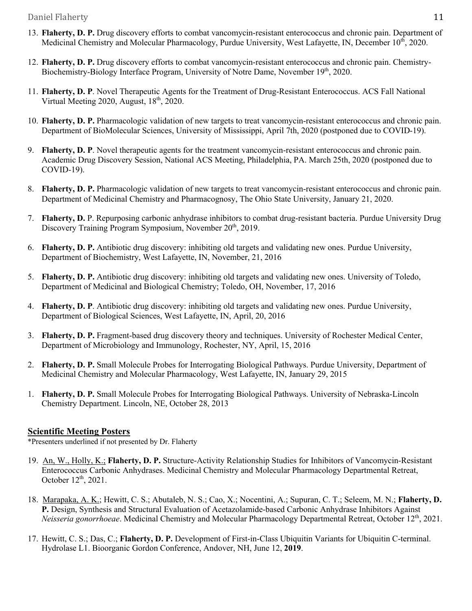- 13. **Flaherty, D. P.** Drug discovery efforts to combat vancomycin-resistant enterococcus and chronic pain. Department of Medicinal Chemistry and Molecular Pharmacology, Purdue University, West Lafayette, IN, December 10<sup>th</sup>, 2020.
- 12. **Flaherty, D. P.** Drug discovery efforts to combat vancomycin-resistant enterococcus and chronic pain. Chemistry-Biochemistry-Biology Interface Program, University of Notre Dame, November 19<sup>th</sup>, 2020.
- 11. **Flaherty, D. P**. Novel Therapeutic Agents for the Treatment of Drug-Resistant Enterococcus. ACS Fall National Virtual Meeting 2020, August,  $18<sup>th</sup>$ , 2020.
- 10. **Flaherty, D. P.** Pharmacologic validation of new targets to treat vancomycin-resistant enterococcus and chronic pain. Department of BioMolecular Sciences, University of Mississippi, April 7th, 2020 (postponed due to COVID-19).
- 9. **Flaherty, D. P**. Novel therapeutic agents for the treatment vancomycin-resistant enterococcus and chronic pain. Academic Drug Discovery Session, National ACS Meeting, Philadelphia, PA. March 25th, 2020 (postponed due to COVID-19).
- 8. **Flaherty, D. P.** Pharmacologic validation of new targets to treat vancomycin-resistant enterococcus and chronic pain. Department of Medicinal Chemistry and Pharmacognosy, The Ohio State University, January 21, 2020.
- 7. **Flaherty, D.** P. Repurposing carbonic anhydrase inhibitors to combat drug-resistant bacteria. Purdue University Drug Discovery Training Program Symposium, November 20<sup>th</sup>, 2019.
- 6. **Flaherty, D. P.** Antibiotic drug discovery: inhibiting old targets and validating new ones. Purdue University, Department of Biochemistry, West Lafayette, IN, November, 21, 2016
- 5. **Flaherty, D. P.** Antibiotic drug discovery: inhibiting old targets and validating new ones. University of Toledo, Department of Medicinal and Biological Chemistry; Toledo, OH, November, 17, 2016
- 4. **Flaherty, D. P**. Antibiotic drug discovery: inhibiting old targets and validating new ones. Purdue University, Department of Biological Sciences, West Lafayette, IN, April, 20, 2016
- 3. **Flaherty, D. P.** Fragment-based drug discovery theory and techniques. University of Rochester Medical Center, Department of Microbiology and Immunology, Rochester, NY, April, 15, 2016
- 2. **Flaherty, D. P.** Small Molecule Probes for Interrogating Biological Pathways. Purdue University, Department of Medicinal Chemistry and Molecular Pharmacology, West Lafayette, IN, January 29, 2015
- 1. **Flaherty, D. P.** Small Molecule Probes for Interrogating Biological Pathways. University of Nebraska-Lincoln Chemistry Department. Lincoln, NE, October 28, 2013

# **Scientific Meeting Posters**

\*Presenters underlined if not presented by Dr. Flaherty

- 19. An, W., Holly, K.; **Flaherty, D. P.** Structure-Activity Relationship Studies for Inhibitors of Vancomycin-Resistant Enterococcus Carbonic Anhydrases. Medicinal Chemistry and Molecular Pharmacology Departmental Retreat, October 12<sup>th</sup>, 2021.
- 18. Marapaka, A. K.; Hewitt, C. S.; Abutaleb, N. S.; Cao, X.; Nocentini, A.; Supuran, C. T.; Seleem, M. N.; **Flaherty, D. P.** Design, Synthesis and Structural Evaluation of Acetazolamide-based Carbonic Anhydrase Inhibitors Against *Neisseria gonorrhoeae*. Medicinal Chemistry and Molecular Pharmacology Departmental Retreat, October 12<sup>th</sup>, 2021.
- 17. Hewitt, C. S.; Das, C.; **Flaherty, D. P.** Development of First-in-Class Ubiquitin Variants for Ubiquitin C-terminal. Hydrolase L1. Bioorganic Gordon Conference, Andover, NH, June 12, **2019**.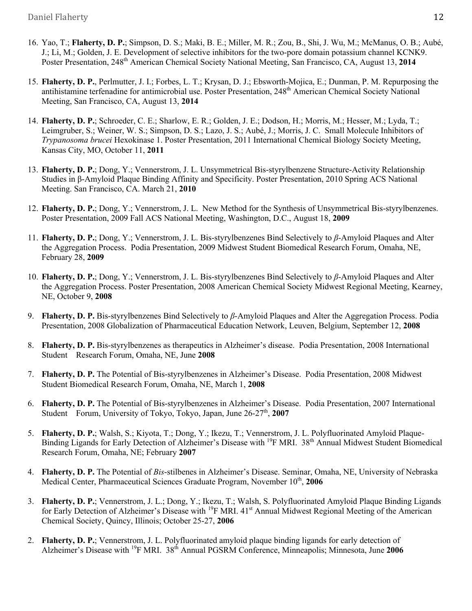- 16. Yao, T.; **Flaherty, D. P.**; Simpson, D. S.; Maki, B. E.; Miller, M. R.; Zou, B., Shi, J. Wu, M.; McManus, O. B.; Aubé, J.; Li, M.; Golden, J. E. Development of selective inhibitors for the two-pore domain potassium channel KCNK9. Poster Presentation, 248<sup>th</sup> American Chemical Society National Meeting, San Francisco, CA, August 13, 2014
- 15. **Flaherty, D. P.**, Perlmutter, J. I.; Forbes, L. T.; Krysan, D. J.; Ebsworth-Mojica, E.; Dunman, P. M. Repurposing the antihistamine terfenadine for antimicrobial use. Poster Presentation, 248<sup>th</sup> American Chemical Society National Meeting, San Francisco, CA, August 13, **2014**
- 14. **Flaherty, D. P.**; Schroeder, C. E.; Sharlow, E. R.; Golden, J. E.; Dodson, H.; Morris, M.; Hesser, M.; Lyda, T.; Leimgruber, S.; Weiner, W. S.; Simpson, D. S.; Lazo, J. S.; Aubé, J.; Morris, J. C. Small Molecule Inhibitors of *Trypanosoma brucei* Hexokinase 1. Poster Presentation, 2011 International Chemical Biology Society Meeting, Kansas City, MO, October 11, **2011**
- 13. **Flaherty, D. P.**; Dong, Y.; Vennerstrom, J. L. Unsymmetrical Bis-styrylbenzene Structure-Activity Relationship Studies in β-Amyloid Plaque Binding Affinity and Specificity. Poster Presentation, 2010 Spring ACS National Meeting. San Francisco, CA. March 21, **2010**
- 12. **Flaherty, D. P.**; Dong, Y.; Vennerstrom, J. L. New Method for the Synthesis of Unsymmetrical Bis-styrylbenzenes. Poster Presentation, 2009 Fall ACS National Meeting, Washington, D.C., August 18, **2009**
- 11. **Flaherty, D. P.**; Dong, Y.; Vennerstrom, J. L. Bis-styrylbenzenes Bind Selectively to *β*-Amyloid Plaques and Alter the Aggregation Process. Podia Presentation, 2009 Midwest Student Biomedical Research Forum, Omaha, NE, February 28, **2009**
- 10. **Flaherty, D. P.**; Dong, Y.; Vennerstrom, J. L. Bis-styrylbenzenes Bind Selectively to *β*-Amyloid Plaques and Alter the Aggregation Process. Poster Presentation, 2008 American Chemical Society Midwest Regional Meeting, Kearney, NE, October 9, **2008**
- 9. **Flaherty, D. P.** Bis-styrylbenzenes Bind Selectively to *β*-Amyloid Plaques and Alter the Aggregation Process. Podia Presentation, 2008 Globalization of Pharmaceutical Education Network, Leuven, Belgium, September 12, **2008**
- 8. **Flaherty, D. P.** Bis-styrylbenzenes as therapeutics in Alzheimer's disease. Podia Presentation, 2008 International Student Research Forum, Omaha, NE, June **2008**
- 7. **Flaherty, D. P.** The Potential of Bis-styrylbenzenes in Alzheimer's Disease. Podia Presentation, 2008 Midwest Student Biomedical Research Forum, Omaha, NE, March 1, **2008**
- 6. **Flaherty, D. P.** The Potential of Bis-styrylbenzenes in Alzheimer's Disease. Podia Presentation, 2007 International Student Forum, University of Tokyo, Tokyo, Japan, June 26-27<sup>th</sup>, 2007
- 5. **Flaherty, D. P.**; Walsh, S.; Kiyota, T.; Dong, Y.; Ikezu, T.; Vennerstrom, J. L. Polyfluorinated Amyloid Plaque-Binding Ligands for Early Detection of Alzheimer's Disease with <sup>19</sup>F MRI. 38<sup>th</sup> Annual Midwest Student Biomedical Research Forum, Omaha, NE; February **2007**
- 4. **Flaherty, D. P.** The Potential of *Bis*-stilbenes in Alzheimer's Disease. Seminar, Omaha, NE, University of Nebraska Medical Center, Pharmaceutical Sciences Graduate Program, November 10<sup>th</sup>, 2006
- 3. **Flaherty, D. P.**; Vennerstrom, J. L.; Dong, Y.; Ikezu, T.; Walsh, S. Polyfluorinated Amyloid Plaque Binding Ligands for Early Detection of Alzheimer's Disease with <sup>19</sup>F MRI. 41<sup>st</sup> Annual Midwest Regional Meeting of the American Chemical Society, Quincy, Illinois; October 25-27, **2006**
- 2. **Flaherty, D. P.**; Vennerstrom, J. L. Polyfluorinated amyloid plaque binding ligands for early detection of Alzheimer's Disease with 19F MRI. 38th Annual PGSRM Conference, Minneapolis; Minnesota, June **2006**